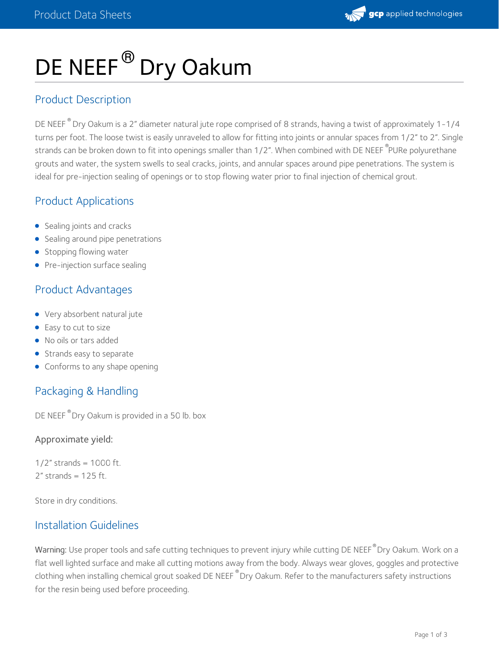# DE NEEF<sup>®</sup> Dry Oakum

## Product Description

DE NEEF  $^\circ$  Dry Oakum is a 2" diameter natural jute rope comprised of 8 strands, having a twist of approximately 1-1/4 turns per foot. The loose twist is easily unraveled to allow for fitting into joints or annular spaces from 1/2" to 2". Single strands can be broken down to fit into openings smaller than 1/2". When combined with DE NEEF <sup>®</sup>PURe polyurethane grouts and water, the system swells to seal cracks, joints, and annular spaces around pipe penetrations. The system is ideal for pre-injection sealing of openings or to stop flowing water prior to final injection of chemical grout.

## Product Applications

- Sealing joints and cracks
- Sealing around pipe penetrations
- Stopping flowing water
- Pre-injection surface sealing

# Product Advantages

- Very absorbent natural jute
- Easy to cut to size
- No oils or tars added
- Strands easy to separate
- Conforms to any shape opening

# Packaging & Handling

DE NEEF  $^\circ$  Dry Oakum is provided in a 50 lb. box

Approximate yield:

1/2" strands =  $1000$  ft.  $2''$  strands = 125 ft.

Store in dry conditions.

## Installation Guidelines

 $\,$  Warning: Use proper tools and safe cutting techniques to prevent injury while cutting DE NEEF $^{\circ}$ Dry Oakum. Work on a flat well lighted surface and make all cutting motions away from the body. Always wear gloves, goggles and protective clothing when installing chemical grout soaked DE NEEF  $^\circ$ Dry Oakum. Refer to the manufacturers safety instructions for the resin being used before proceeding.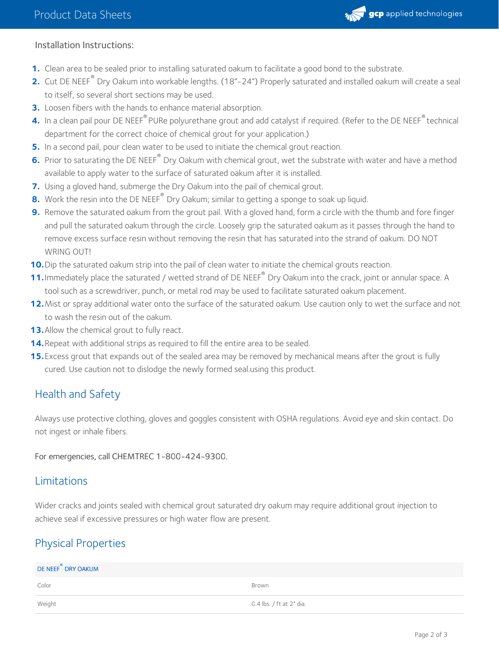

#### Installation Instructions:

- **1.** Clean area to be sealed prior to installing saturated oakum to facilitate a good bond to the substrate.
- **2.** Cut DE NEEF<sup>®</sup> Dry Oakum into workable lengths. (18"-24") Properly saturated and installed oakum will create a seal to itself, so several short sections may be used.
- **3.** Loosen fibers with the hands to enhance material absorption.
- 4. In a clean pail pour DE NEEF® PURe polyurethane grout and add catalyst if required. (Refer to the DE NEEF® technical department for the correct choice of chemical grout for your application.)
- **5.** In a second pail, pour clean water to be used to initiate the chemical grout reaction.
- **6.** Prior to saturating the DE NEEF<sup>®</sup> Dry Oakum with chemical grout, wet the substrate with water and have a method available to apply water to the surface of saturated oakum after it is installed.
- **7.** Using a gloved hand, submerge the Dry Oakum into the pail of chemical grout.
- 8. Work the resin into the DE NEEF<sup>®</sup> Dry Oakum; similar to getting a sponge to soak up liquid.
- **9.** Remove the saturated oakum from the grout pail. With a gloved hand, form a circle with the thumb and fore finger and pull the saturated oakum through the circle. Loosely grip the saturated oakum as it passes through the hand to remove excess surface resin without removing the resin that has saturated into the strand of oakum. DO NOT WRING OUT!
- **10.** Dip the saturated oakum strip into the pail of clean water to initiate the chemical grouts reaction.
- **11.** Immediately place the saturated / wetted strand of DE NEEF<sup>®</sup> Dry Oakum into the crack, joint or annular space. A tool such as a screwdriver, punch, or metal rod may be used to facilitate saturated oakum placement.
- **12.** Mist or spray additional water onto the surface of the saturated oakum. Use caution only to wet the surface and not to wash the resin out of the oakum.
- 13. Allow the chemical grout to fully react.
- **14.**Repeat with additional strips as required to fill the entire area to be sealed.
- **15.** Excess grout that expands out of the sealed area may be removed by mechanical means after the grout is fully cured. Use caution not to dislodge the newly formed seal.using this product. **15.**

## Health and Safety

Always use protective clothing, gloves and goggles consistent with OSHA regulations. Avoid eye and skin contact. Do not ingest or inhale fibers.

For emergencies, call CHEMTREC 1-800-424-9300.

### Limitations

Wider cracks and joints sealed with chemical grout saturated dry oakum may require additional grout injection to achieve seal if excessive pressures or high water flow are present.

## Physical Properties

| DE NEEF DRY OAKUM |                          |
|-------------------|--------------------------|
| Color             | Brown                    |
| Weight            | 0.4 lbs. / ft at 2" dia. |